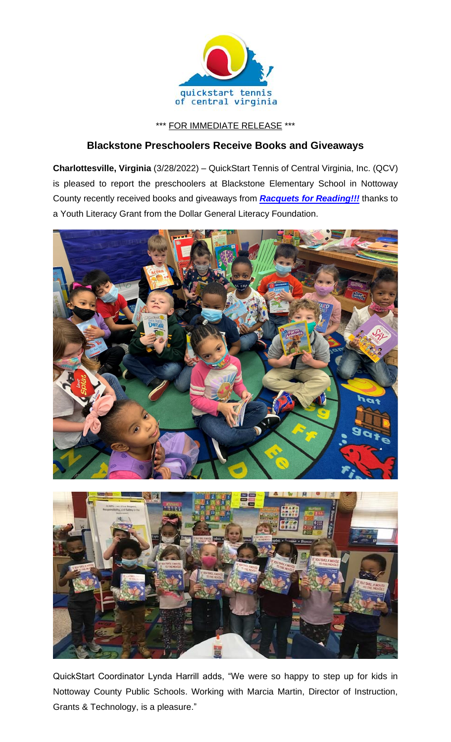

\*\*\* FOR IMMEDIATE RELEASE \*\*\*

## **Blackstone Preschoolers Receive Books and Giveaways**

**Charlottesville, Virginia** (3/28/2022) – QuickStart Tennis of Central Virginia, Inc. (QCV) is pleased to report the preschoolers at Blackstone Elementary School in Nottoway County recently received books and giveaways from *[Racquets for Reading!!!](https://www.quickstartcentral.org/pages/index.cfm?siteid=23306)* thanks to a Youth Literacy Grant from the Dollar General Literacy Foundation.



QuickStart Coordinator Lynda Harrill adds, "We were so happy to step up for kids in Nottoway County Public Schools. Working with Marcia Martin, Director of Instruction, Grants & Technology, is a pleasure."